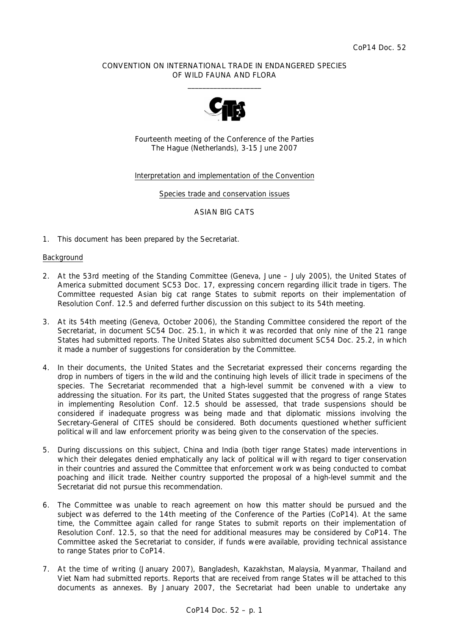## CONVENTION ON INTERNATIONAL TRADE IN ENDANGERED SPECIES OF WILD FAUNA AND FLORA  $\overline{\phantom{a}}$  , and the set of the set of the set of the set of the set of the set of the set of the set of the set of the set of the set of the set of the set of the set of the set of the set of the set of the set of the s



Fourteenth meeting of the Conference of the Parties The Hague (Netherlands), 3-15 June 2007

## Interpretation and implementation of the Convention

Species trade and conservation issues

## ASIAN BIG CATS

1. This document has been prepared by the Secretariat.

# **Background**

- 2. At the 53rd meeting of the Standing Committee (Geneva, June July 2005), the United States of America submitted document SC53 Doc. 17, expressing concern regarding illicit trade in tigers. The Committee requested Asian big cat range States to submit reports on their implementation of Resolution Conf. 12.5 and deferred further discussion on this subject to its 54th meeting.
- 3. At its 54th meeting (Geneva, October 2006), the Standing Committee considered the report of the Secretariat, in document SC54 Doc. 25.1, in which it was recorded that only nine of the 21 range States had submitted reports. The United States also submitted document SC54 Doc. 25.2, in which it made a number of suggestions for consideration by the Committee.
- 4. In their documents, the United States and the Secretariat expressed their concerns regarding the drop in numbers of tigers in the wild and the continuing high levels of illicit trade in specimens of the species. The Secretariat recommended that a high-level summit be convened with a view to addressing the situation. For its part, the United States suggested that the progress of range States in implementing Resolution Conf. 12.5 should be assessed, that trade suspensions should be considered if inadequate progress was being made and that diplomatic missions involving the Secretary-General of CITES should be considered. Both documents questioned whether sufficient political will and law enforcement priority was being given to the conservation of the species.
- 5. During discussions on this subject, China and India (both tiger range States) made interventions in which their delegates denied emphatically any lack of political will with regard to tiger conservation in their countries and assured the Committee that enforcement work was being conducted to combat poaching and illicit trade. Neither country supported the proposal of a high-level summit and the Secretariat did not pursue this recommendation.
- 6. The Committee was unable to reach agreement on how this matter should be pursued and the subject was deferred to the 14th meeting of the Conference of the Parties (CoP14). At the same time, the Committee again called for range States to submit reports on their implementation of Resolution Conf. 12.5, so that the need for additional measures may be considered by CoP14. The Committee asked the Secretariat to consider, if funds were available, providing technical assistance to range States prior to CoP14.
- 7. At the time of writing (January 2007), Bangladesh, Kazakhstan, Malaysia, Myanmar, Thailand and Viet Nam had submitted reports. Reports that are received from range States will be attached to this documents as annexes. By January 2007, the Secretariat had been unable to undertake any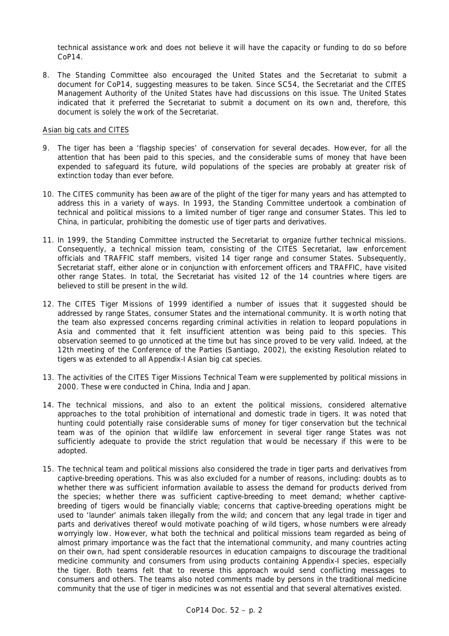technical assistance work and does not believe it will have the capacity or funding to do so before CoP14.

8. The Standing Committee also encouraged the United States and the Secretariat to submit a document for CoP14, suggesting measures to be taken. Since SC54, the Secretariat and the CITES Management Authority of the United States have had discussions on this issue. The United States indicated that it preferred the Secretariat to submit a document on its own and, therefore, this document is solely the work of the Secretariat.

#### Asian big cats and CITES

- 9. The tiger has been a 'flagship species' of conservation for several decades. However, for all the attention that has been paid to this species, and the considerable sums of money that have been expended to safeguard its future, wild populations of the species are probably at greater risk of extinction today than ever before.
- 10. The CITES community has been aware of the plight of the tiger for many years and has attempted to address this in a variety of ways. In 1993, the Standing Committee undertook a combination of technical and political missions to a limited number of tiger range and consumer States. This led to China, in particular, prohibiting the domestic use of tiger parts and derivatives.
- 11. In 1999, the Standing Committee instructed the Secretariat to organize further technical missions. Consequently, a technical mission team, consisting of the CITES Secretariat, law enforcement officials and TRAFFIC staff members, visited 14 tiger range and consumer States. Subsequently, Secretariat staff, either alone or in conjunction with enforcement officers and TRAFFIC, have visited other range States. In total, the Secretariat has visited 12 of the 14 countries where tigers are believed to still be present in the wild.
- 12. The CITES Tiger Missions of 1999 identified a number of issues that it suggested should be addressed by range States, consumer States and the international community. It is worth noting that the team also expressed concerns regarding criminal activities in relation to leopard populations in Asia and commented that it felt insufficient attention was being paid to this species. This observation seemed to go unnoticed at the time but has since proved to be very valid. Indeed, at the 12th meeting of the Conference of the Parties (Santiago, 2002), the existing Resolution related to tigers was extended to all Appendix-I Asian big cat species.
- 13. The activities of the CITES Tiger Missions Technical Team were supplemented by political missions in 2000. These were conducted in China, India and Japan.
- 14. The technical missions, and also to an extent the political missions, considered alternative approaches to the total prohibition of international and domestic trade in tigers. It was noted that hunting could potentially raise considerable sums of money for tiger conservation but the technical team was of the opinion that wildlife law enforcement in several tiger range States was not sufficiently adequate to provide the strict regulation that would be necessary if this were to be adopted.
- 15. The technical team and political missions also considered the trade in tiger parts and derivatives from captive-breeding operations. This was also excluded for a number of reasons, including: doubts as to whether there was sufficient information available to assess the demand for products derived from the species; whether there was sufficient captive-breeding to meet demand; whether captivebreeding of tigers would be financially viable; concerns that captive-breeding operations might be used to 'launder' animals taken illegally from the wild; and concern that any legal trade in tiger and parts and derivatives thereof would motivate poaching of wild tigers, whose numbers were already worryingly low. However, what both the technical and political missions team regarded as being of almost primary importance was the fact that the international community, and many countries acting on their own, had spent considerable resources in education campaigns to discourage the traditional medicine community and consumers from using products containing Appendix-I species, especially the tiger. Both teams felt that to reverse this approach would send conflicting messages to consumers and others. The teams also noted comments made by persons in the traditional medicine community that the use of tiger in medicines was not essential and that several alternatives existed.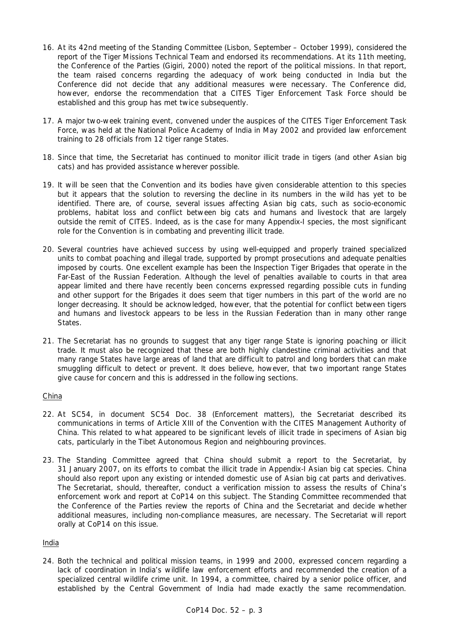- 16. At its 42nd meeting of the Standing Committee (Lisbon, September October 1999), considered the report of the Tiger Missions Technical Team and endorsed its recommendations. At its 11th meeting, the Conference of the Parties (Gigiri, 2000) noted the report of the political missions. In that report, the team raised concerns regarding the adequacy of work being conducted in India but the Conference did not decide that any additional measures were necessary. The Conference did, however, endorse the recommendation that a CITES Tiger Enforcement Task Force should be established and this group has met twice subsequently.
- 17. A major two-week training event, convened under the auspices of the CITES Tiger Enforcement Task Force, was held at the National Police Academy of India in May 2002 and provided law enforcement training to 28 officials from 12 tiger range States.
- 18. Since that time, the Secretariat has continued to monitor illicit trade in tigers (and other Asian big cats) and has provided assistance wherever possible.
- 19. It will be seen that the Convention and its bodies have given considerable attention to this species but it appears that the solution to reversing the decline in its numbers in the wild has yet to be identified. There are, of course, several issues affecting Asian big cats, such as socio-economic problems, habitat loss and conflict between big cats and humans and livestock that are largely outside the remit of CITES. Indeed, as is the case for many Appendix-I species, the most significant role for the Convention is in combating and preventing illicit trade.
- 20. Several countries have achieved success by using well-equipped and properly trained specialized units to combat poaching and illegal trade, supported by prompt prosecutions and adequate penalties imposed by courts. One excellent example has been the Inspection Tiger Brigades that operate in the Far-East of the Russian Federation. Although the level of penalties available to courts in that area appear limited and there have recently been concerns expressed regarding possible cuts in funding and other support for the Brigades it does seem that tiger numbers in this part of the world are no longer decreasing. It should be acknowledged, however, that the potential for conflict between tigers and humans and livestock appears to be less in the Russian Federation than in many other range States.
- 21. The Secretariat has no grounds to suggest that any tiger range State is ignoring poaching or illicit trade. It must also be recognized that these are both highly clandestine criminal activities and that many range States have large areas of land that are difficult to patrol and long borders that can make smuggling difficult to detect or prevent. It does believe, however, that two important range States give cause for concern and this is addressed in the following sections.

# China

- 22. At SC54, in document SC54 Doc. 38 (Enforcement matters), the Secretariat described its communications in terms of Article XIII of the Convention with the CITES Management Authority of China. This related to what appeared to be significant levels of illicit trade in specimens of Asian big cats, particularly in the Tibet Autonomous Region and neighbouring provinces.
- 23. The Standing Committee agreed that China should submit a report to the Secretariat, by 31 January 2007, on its efforts to combat the illicit trade in Appendix-I Asian big cat species. China should also report upon any existing or intended domestic use of Asian big cat parts and derivatives. The Secretariat, should, thereafter, conduct a verification mission to assess the results of China's enforcement work and report at CoP14 on this subject. The Standing Committee recommended that the Conference of the Parties review the reports of China and the Secretariat and decide whether additional measures, including non-compliance measures, are necessary. The Secretariat will report orally at CoP14 on this issue.

#### India

24. Both the technical and political mission teams, in 1999 and 2000, expressed concern regarding a lack of coordination in India's wildlife law enforcement efforts and recommended the creation of a specialized central wildlife crime unit. In 1994, a committee, chaired by a senior police officer, and established by the Central Government of India had made exactly the same recommendation.